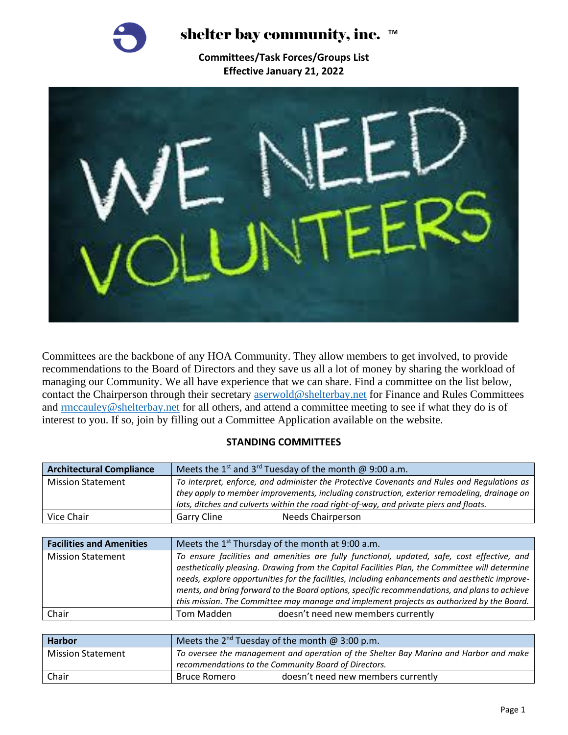

shelter bay community, inc. ™

**Committees/Task Forces/Groups List Effective January 21, 2022**



Committees are the backbone of any HOA Community. They allow members to get involved, to provide recommendations to the Board of Directors and they save us all a lot of money by sharing the workload of managing our Community. We all have experience that we can share. Find a committee on the list below, contact the Chairperson through their secretary [aserwold@shelterbay.net](mailto:aserwold@shelterbay.net) for Finance and Rules Committees and **rmccauley@shelterbay.net** for all others, and attend a committee meeting to see if what they do is of interest to you. If so, join by filling out a Committee Application available on the website.

## **STANDING COMMITTEES**

| <b>Architectural Compliance</b> | Meets the $1^{st}$ and $3^{rd}$ Tuesday of the month @ 9:00 a.m.                                                                                                                                                                                                                     |  |
|---------------------------------|--------------------------------------------------------------------------------------------------------------------------------------------------------------------------------------------------------------------------------------------------------------------------------------|--|
| <b>Mission Statement</b>        | To interpret, enforce, and administer the Protective Covenants and Rules and Regulations as<br>they apply to member improvements, including construction, exterior remodeling, drainage on<br>lots, ditches and culverts within the road right-of-way, and private piers and floats. |  |
| Vice Chair                      | Garry Cline<br><b>Needs Chairperson</b>                                                                                                                                                                                                                                              |  |

| <b>Facilities and Amenities</b> | Meets the $1^{st}$ Thursday of the month at 9:00 a.m.                                                                                                                                                                                                                                                                                                                                            |  |
|---------------------------------|--------------------------------------------------------------------------------------------------------------------------------------------------------------------------------------------------------------------------------------------------------------------------------------------------------------------------------------------------------------------------------------------------|--|
| <b>Mission Statement</b>        | To ensure facilities and amenities are fully functional, updated, safe, cost effective, and<br>aesthetically pleasing. Drawing from the Capital Facilities Plan, the Committee will determine<br>needs, explore opportunities for the facilities, including enhancements and aesthetic improve-<br>ments, and bring forward to the Board options, specific recommendations, and plans to achieve |  |
|                                 |                                                                                                                                                                                                                                                                                                                                                                                                  |  |
| Chair                           | this mission. The Committee may manage and implement projects as authorized by the Board.<br>doesn't need new members currently<br>Tom Madden                                                                                                                                                                                                                                                    |  |

| <b>Harbor</b>            | Meets the $2^{nd}$ Tuesday of the month @ 3:00 p.m.                                   |                                    |
|--------------------------|---------------------------------------------------------------------------------------|------------------------------------|
| <b>Mission Statement</b> | To oversee the management and operation of the Shelter Bay Marina and Harbor and make |                                    |
|                          | recommendations to the Community Board of Directors.                                  |                                    |
| Chair                    | Bruce Romero                                                                          | doesn't need new members currently |